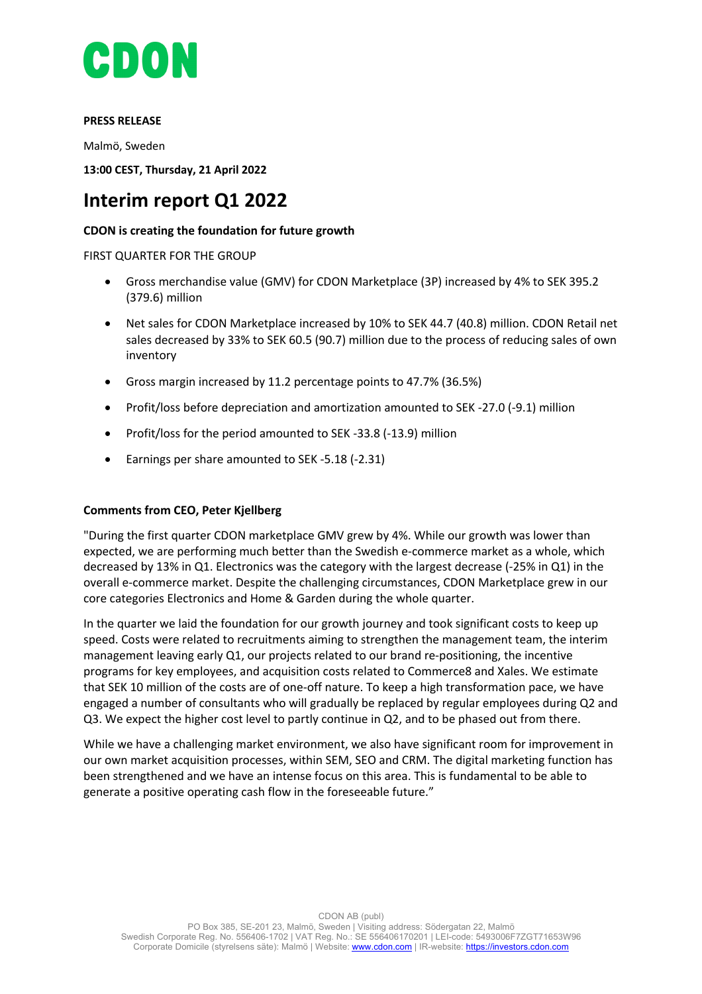

## **PRESS RELEASE**

Malmö, Sweden

**13:00 CEST, Thursday, 21 April 2022**

# **Interim report Q1 2022**

# **CDON is creating the foundation for future growth**

FIRST QUARTER FOR THE GROUP

- Gross merchandise value (GMV) for CDON Marketplace (3P) increased by 4% to SEK 395.2 (379.6) million
- Net sales for CDON Marketplace increased by 10% to SEK 44.7 (40.8) million. CDON Retail net sales decreased by 33% to SEK 60.5 (90.7) million due to the process of reducing sales of own inventory
- Gross margin increased by 11.2 percentage points to 47.7% (36.5%)
- Profit/loss before depreciation and amortization amounted to SEK -27.0 (-9.1) million
- Profit/loss for the period amounted to SEK -33.8 (-13.9) million
- Earnings per share amounted to SEK -5.18 (-2.31)

## **Comments from CEO, Peter Kjellberg**

"During the first quarter CDON marketplace GMV grew by 4%. While our growth was lower than expected, we are performing much better than the Swedish e-commerce market as a whole, which decreased by 13% in Q1. Electronics was the category with the largest decrease (-25% in Q1) in the overall e-commerce market. Despite the challenging circumstances, CDON Marketplace grew in our core categories Electronics and Home & Garden during the whole quarter.

In the quarter we laid the foundation for our growth journey and took significant costs to keep up speed. Costs were related to recruitments aiming to strengthen the management team, the interim management leaving early Q1, our projects related to our brand re-positioning, the incentive programs for key employees, and acquisition costs related to Commerce8 and Xales. We estimate that SEK 10 million of the costs are of one-off nature. To keep a high transformation pace, we have engaged a number of consultants who will gradually be replaced by regular employees during Q2 and Q3. We expect the higher cost level to partly continue in Q2, and to be phased out from there.

While we have a challenging market environment, we also have significant room for improvement in our own market acquisition processes, within SEM, SEO and CRM. The digital marketing function has been strengthened and we have an intense focus on this area. This is fundamental to be able to generate a positive operating cash flow in the foreseeable future."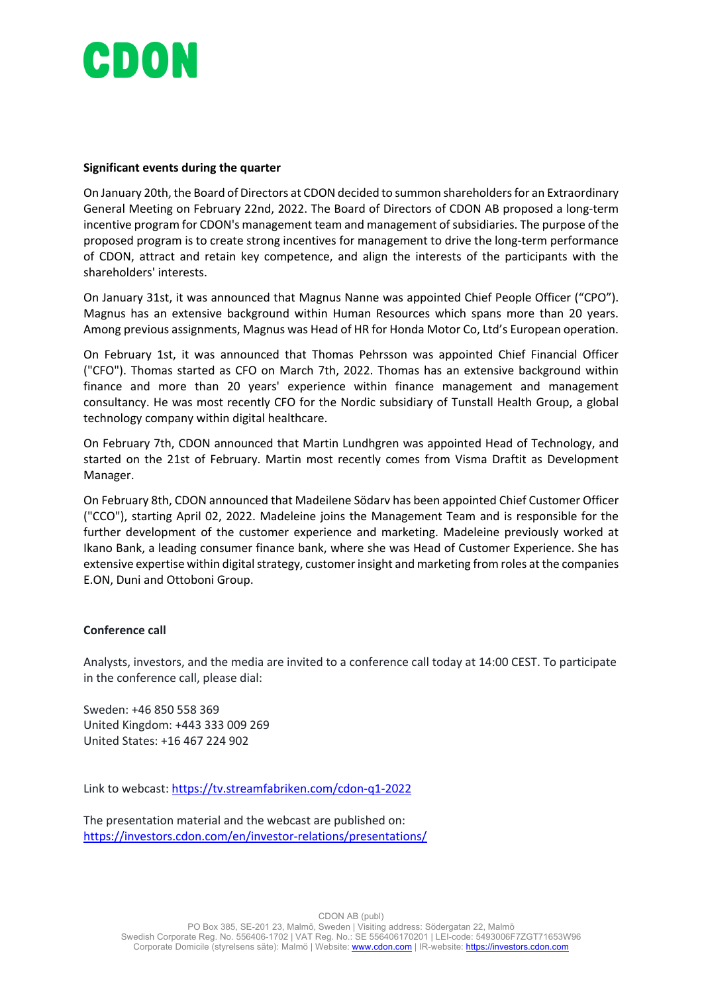# CDON

## **Significant events during the quarter**

On January 20th, the Board of Directors at CDON decided to summon shareholders for an Extraordinary General Meeting on February 22nd, 2022. The Board of Directors of CDON AB proposed a long-term incentive program for CDON's management team and management of subsidiaries. The purpose of the proposed program is to create strong incentives for management to drive the long-term performance of CDON, attract and retain key competence, and align the interests of the participants with the shareholders' interests.

On January 31st, it was announced that Magnus Nanne was appointed Chief People Officer ("CPO"). Magnus has an extensive background within Human Resources which spans more than 20 years. Among previous assignments, Magnus was Head of HR for Honda Motor Co, Ltd's European operation.

On February 1st, it was announced that Thomas Pehrsson was appointed Chief Financial Officer ("CFO"). Thomas started as CFO on March 7th, 2022. Thomas has an extensive background within finance and more than 20 years' experience within finance management and management consultancy. He was most recently CFO for the Nordic subsidiary of Tunstall Health Group, a global technology company within digital healthcare.

On February 7th, CDON announced that Martin Lundhgren was appointed Head of Technology, and started on the 21st of February. Martin most recently comes from Visma Draftit as Development Manager.

On February 8th, CDON announced that Madeilene Södarv has been appointed Chief Customer Officer ("CCO"), starting April 02, 2022. Madeleine joins the Management Team and is responsible for the further development of the customer experience and marketing. Madeleine previously worked at Ikano Bank, a leading consumer finance bank, where she was Head of Customer Experience. She has extensive expertise within digital strategy, customer insight and marketing from roles at the companies E.ON, Duni and Ottoboni Group.

## **Conference call**

Analysts, investors, and the media are invited to a conference call today at 14:00 CEST. To participate in the conference call, please dial:

Sweden: +46 850 558 369 United Kingdom: +443 333 009 269 United States: +16 467 224 902

Link to webcast: https://tv.streamfabriken.com/cdon-q1-2022

The presentation material and the webcast are published on: https://investors.cdon.com/en/investor-relations/presentations/